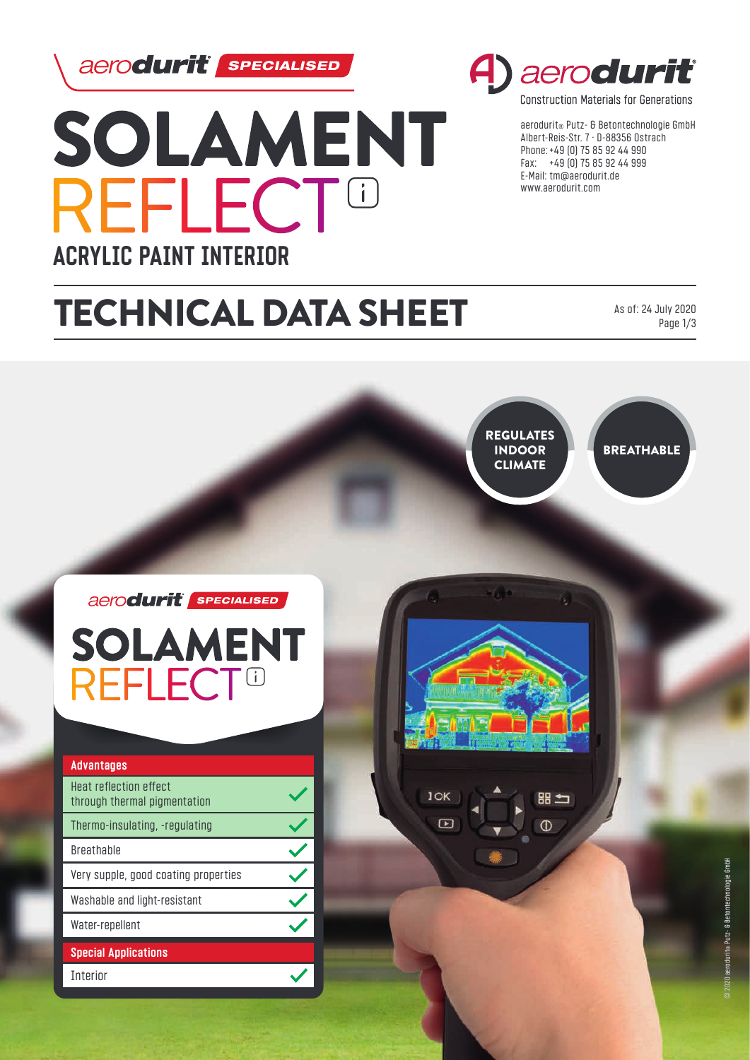aerodurit *sPECIALISED* 



# A) aerodurit

**Construction Materials for Generations** 

aerodurit® Putz- & Betontechnologie GmbH Albert-Reis-Str. 7 · D-88356 Ostrach Phone: +49 (0) 75 85 92 44 990 Fax: +49 (0) 75 85 92 44 999 E-Mail: tm@aerodurit.de www.aerodurit.com

# TECHNICAL DATA SHEET

As of: 24 July 2020 Page 1/3



**BREATHABLE** 

## aerodurit sPECIALISED **SOLAMENT REFLECT<sup>®</sup>**

| <b>Advantages</b>                                      |  |
|--------------------------------------------------------|--|
| Heat reflection effect<br>through thermal pigmentation |  |
| Thermo-insulating, -regulating                         |  |
| <b>Breathable</b>                                      |  |
| Very supple, good coating properties                   |  |
| Washable and light-resistant                           |  |
| Water-repellent                                        |  |
| <b>Special Applications</b>                            |  |
| <b>Interior</b>                                        |  |



 $\Box$ 

⊞ 〜  $\mathcal{D}$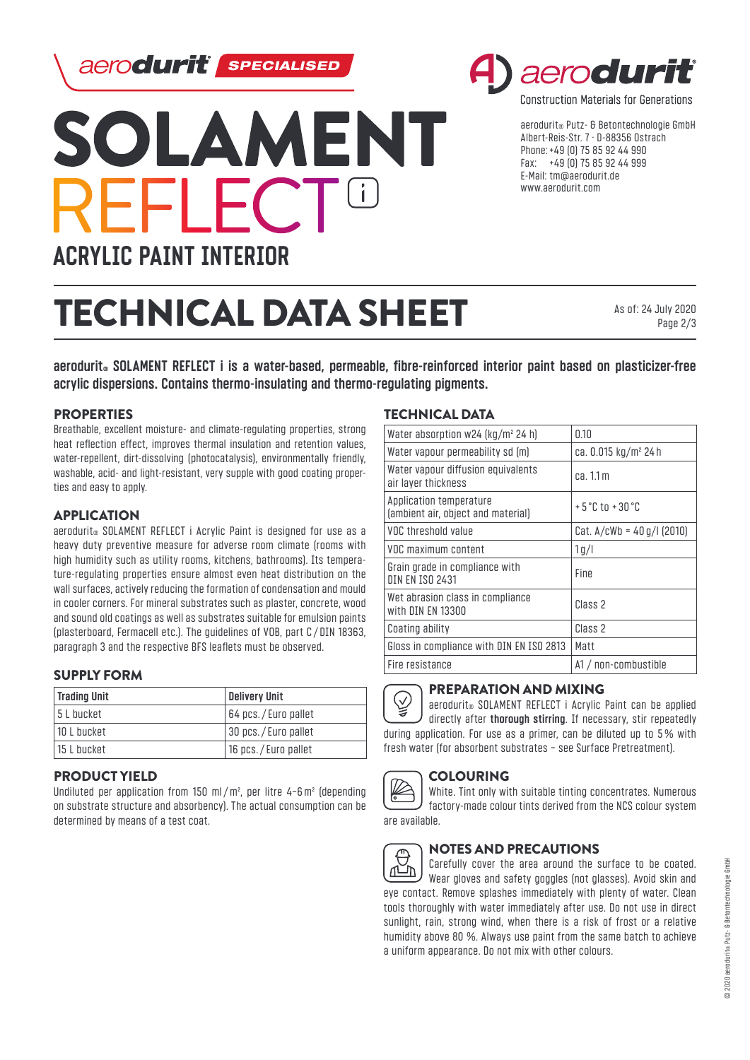aerodurit *sPECIALISED* 



# aeroduri

**Construction Materials for Generations** 

aerodurit® Putz- & Betontechnologie GmbH Albert-Reis-Str. 7 · D-88356 Ostrach Phone: +49 (0) 75 85 92 44 990 Fax: +49 (0) 75 85 92 44 999 E-Mail: tm@aerodurit.de www.aerodurit.com

# TECHNICAL DATA SHEET

As of: 24 July 2020 Page 2/3

**aerodurit® SOLAMENT REFLECT i is a water-based, permeable, fibre-reinforced interior paint based on plasticizer-free acrylic dispersions. Contains thermo-insulating and thermo-regulating pigments.**

#### PROPERTIES

Breathable, excellent moisture- and climate-regulating properties, strong heat reflection effect, improves thermal insulation and retention values, water-repellent, dirt-dissolving (photocatalysis), environmentally friendly, washable, acid- and light-resistant, very supple with good coating properties and easy to apply.

#### APPLICATION

aerodurit<sup>®</sup> SOLAMENT REFLECT i Acrylic Paint is designed for use as a heavy duty preventive measure for adverse room climate (rooms with high humidity such as utility rooms, kitchens, bathrooms). Its temperature-regulating properties ensure almost even heat distribution on the wall surfaces, actively reducing the formation of condensation and mould in cooler corners. For mineral substrates such as plaster, concrete, wood and sound old coatings as well as substrates suitable for emulsion paints (plasterboard, Fermacell etc.). The guidelines of VOB, part C / DIN 18363, paragraph 3 and the respective BFS leaflets must be observed.

### SUPPLY FORM

| <b>Trading Unit</b> | <b>Delivery Unit</b> |
|---------------------|----------------------|
| 15 L bucket         | 64 pcs./Euro pallet  |
| 10 L bucket         | 30 pcs./Euro pallet  |
| 15 L bucket         | 16 pcs./Euro pallet  |

#### PRODUCT YIELD

Undiluted per application from 150 ml/m², per litre 4−6m² (depending on substrate structure and absorbency). The actual consumption can be determined by means of a test coat.

#### TECHNICAL DATA

| Water absorption w24 $\left[\frac{kg}{m^2}\right]$ 24 h)      | 0.10                              |
|---------------------------------------------------------------|-----------------------------------|
| Water vapour permeability sd (m)                              | ca. 0.015 kg/m <sup>2</sup> 24 h  |
| Water vapour diffusion equivalents<br>air layer thickness     | ca.11m                            |
| Application temperature<br>(ambient air, object and material) | $+5^{\circ}$ C tn $+30^{\circ}$ C |
| VOC threshold value                                           | Cat. $A/cWb = 40 g/l$ (2010)      |
| VOC maximum content                                           | 1g/l                              |
| Grain grade in compliance with<br><b>DIN FN TSO 2431</b>      | Fine                              |
| Wet abrasion class in compliance<br>with DIN EN 13300         | Class <sub>2</sub>                |
| Coating ability                                               | Class <sub>2</sub>                |
| Gloss in compliance with DIN EN ISO 2813                      | Matt                              |
| Fire resistance                                               | A1 / non-combustible              |



#### PREPARATION AND MIXING

 $(\surd)$ aerodurit<sup>®</sup> SOLAMENT REFLECT i Acrylic Paint can be applied directly after **thorough stirring**. If necessary, stir repeatedly during application. For use as a primer, can be diluted up to 5% with fresh water (for absorbent substrates − see Surface Pretreatment).



#### **COLOURING**

White. Tint only with suitable tinting concentrates. Numerous factory-made colour tints derived from the NCS colour system are available.



### NOTES AND PRECAUTIONS

Carefully cover the area around the surface to be coated. Wear gloves and safety goggles (not glasses). Avoid skin and eye contact. Remove splashes immediately with plenty of water. Clean tools thoroughly with water immediately after use. Do not use in direct sunlight, rain, strong wind, when there is a risk of frost or a relative humidity above 80 %. Always use paint from the same batch to achieve a uniform appearance. Do not mix with other colours.